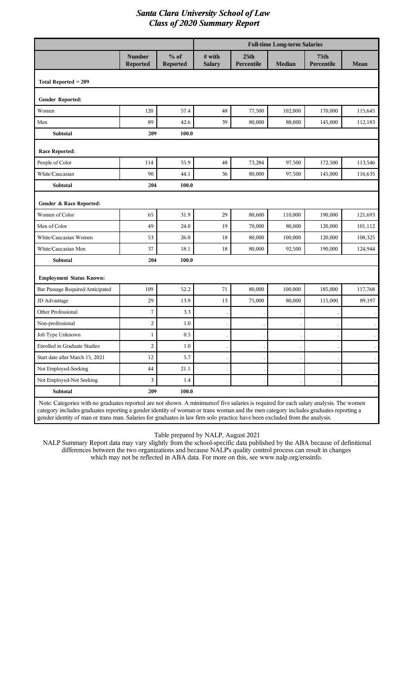|                                  |                           |                           | <b>Full-time Long-term Salaries</b> |                                |               |                                |             |  |
|----------------------------------|---------------------------|---------------------------|-------------------------------------|--------------------------------|---------------|--------------------------------|-------------|--|
|                                  | <b>Number</b><br>Reported | $%$ of<br><b>Reported</b> | # with<br><b>Salary</b>             | 25 <sub>th</sub><br>Percentile | <b>Median</b> | 75 <sub>th</sub><br>Percentile | <b>Mean</b> |  |
| Total Reported $= 209$           |                           |                           |                                     |                                |               |                                |             |  |
| Gender Reported:                 |                           |                           |                                     |                                |               |                                |             |  |
| Women                            | 120                       | 57.4                      | 48                                  | 77,500                         | 102,000       | 170,000                        | 115,645     |  |
| Men                              | 89                        | 42.6                      | 39                                  | 80,000                         | 88,000        | 145,000                        | 112,183     |  |
| <b>Subtotal</b>                  | 209                       | 100.0                     |                                     |                                |               |                                |             |  |
| <b>Race Reported:</b>            |                           |                           |                                     |                                |               |                                |             |  |
| People of Color                  | 114                       | 55.9                      | 48                                  | 73,284                         | 97,500        | 172,500                        | 113,546     |  |
| White/Caucasian                  | 90                        | 44.1                      | 36                                  | 80,000                         | 97,500        | 145,000                        | 116,635     |  |
| Subtotal                         | 204                       | 100.0                     |                                     |                                |               |                                |             |  |
| Gender & Race Reported:          |                           |                           |                                     |                                |               |                                |             |  |
| Women of Color                   | 65                        | 31.9                      | 29                                  | 80,600                         | 110,000       | 190,000                        | 121,693     |  |
| Men of Color                     | 49                        | 24.0                      | 19                                  | 70,000                         | 80,000        | 120,000                        | 101,112     |  |
| White/Caucasian Women            | 53                        | 26.0                      | 18                                  | 80,000                         | 100,000       | 120,000                        | 108,325     |  |
| White/Caucasian Men              | 37                        | 18.1                      | 18                                  | 80,000                         | 92,500        | 190,000                        | 124,944     |  |
| Subtotal                         | 204                       | 100.0                     |                                     |                                |               |                                |             |  |
| <b>Employment Status Known:</b>  |                           |                           |                                     |                                |               |                                |             |  |
| Bar Passage Required/Anticipated | 109                       | 52.2                      | 71                                  | 80,000                         | 100,000       | 185,000                        | 117,768     |  |
| JD Advantage                     | 29                        | 13.9                      | 13                                  | 75,000                         | 80,000        | 115,000                        | 89,197      |  |
| Other Professional               | 7                         | 3.3                       |                                     |                                |               |                                |             |  |
| Non-professional                 | $\overline{c}$            | 1.0                       |                                     |                                |               |                                |             |  |
| Job Type Unknown                 | $\mathbf{1}$              | 0.5                       |                                     |                                |               |                                |             |  |
| Enrolled in Graduate Studies     | $\overline{c}$            | $1.0\,$                   |                                     |                                |               |                                |             |  |
| Start date after March 15, 2021  | 12                        | 5.7                       |                                     |                                |               |                                |             |  |
| Not Employed-Seeking             | $\rm 44$                  | 21.1                      |                                     |                                |               |                                |             |  |
| Not Employed-Not Seeking         | $\mathfrak{Z}$            | 1.4                       |                                     |                                |               |                                |             |  |
| Subtotal                         | 209                       | 100.0                     |                                     |                                |               |                                |             |  |

Note: Categories with no graduates reported are not shown. A minimumof five salaries is required for each salary analysis. The women category includes graduates reporting a gender identity of woman or trans woman and the men category includes graduates reporting a gender identity of man or trans man. Salaries for graduates in law firm solo practice have been excluded from the analysis.

Table prepared by NALP, August 2021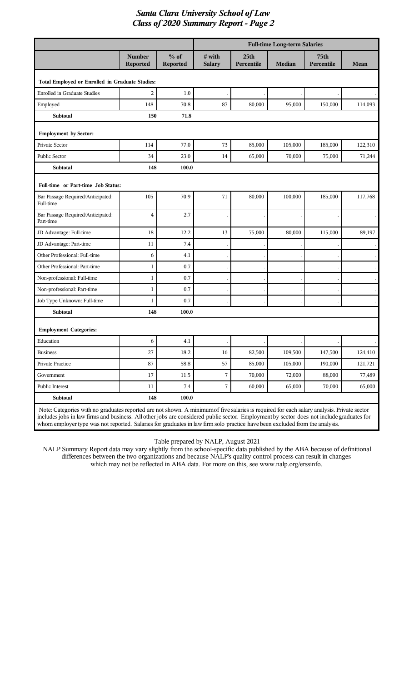|                                                                                                                                                                                                                                                                                                                                                                                                                        |                                  |                           |                         |                                | <b>Full-time Long-term Salaries</b> |                    |         |
|------------------------------------------------------------------------------------------------------------------------------------------------------------------------------------------------------------------------------------------------------------------------------------------------------------------------------------------------------------------------------------------------------------------------|----------------------------------|---------------------------|-------------------------|--------------------------------|-------------------------------------|--------------------|---------|
|                                                                                                                                                                                                                                                                                                                                                                                                                        | <b>Number</b><br><b>Reported</b> | $%$ of<br><b>Reported</b> | # with<br><b>Salary</b> | 25 <sub>th</sub><br>Percentile | <b>Median</b>                       | 75th<br>Percentile | Mean    |
| Total Employed or Enrolled in Graduate Studies:                                                                                                                                                                                                                                                                                                                                                                        |                                  |                           |                         |                                |                                     |                    |         |
| <b>Enrolled in Graduate Studies</b>                                                                                                                                                                                                                                                                                                                                                                                    | 2                                | 1.0                       |                         |                                |                                     |                    |         |
| Employed                                                                                                                                                                                                                                                                                                                                                                                                               | 148                              | 70.8                      | 87                      | 80,000                         | 95,000                              | 150,000            | 114,093 |
| <b>Subtotal</b>                                                                                                                                                                                                                                                                                                                                                                                                        | 150                              | 71.8                      |                         |                                |                                     |                    |         |
| <b>Employment by Sector:</b>                                                                                                                                                                                                                                                                                                                                                                                           |                                  |                           |                         |                                |                                     |                    |         |
| Private Sector                                                                                                                                                                                                                                                                                                                                                                                                         | 114                              | 77.0                      | 73                      | 85,000                         | 105,000                             | 185,000            | 122,310 |
| Public Sector                                                                                                                                                                                                                                                                                                                                                                                                          | 34                               | 23.0                      | 14                      | 65,000                         | 70,000                              | 75,000             | 71,244  |
| <b>Subtotal</b>                                                                                                                                                                                                                                                                                                                                                                                                        | 148                              | 100.0                     |                         |                                |                                     |                    |         |
| Full-time or Part-time Job Status:                                                                                                                                                                                                                                                                                                                                                                                     |                                  |                           |                         |                                |                                     |                    |         |
| Bar Passage Required/Anticipated:<br>Full-time                                                                                                                                                                                                                                                                                                                                                                         | 105                              | 70.9                      | 71                      | 80,000                         | 100,000                             | 185,000            | 117,768 |
| Bar Passage Required/Anticipated:<br>Part-time                                                                                                                                                                                                                                                                                                                                                                         | 4                                | 2.7                       |                         |                                |                                     |                    |         |
| JD Advantage: Full-time                                                                                                                                                                                                                                                                                                                                                                                                | 18                               | 12.2                      | 13                      | 75,000                         | 80,000                              | 115,000            | 89,197  |
| JD Advantage: Part-time                                                                                                                                                                                                                                                                                                                                                                                                | 11                               | 7.4                       |                         |                                |                                     |                    |         |
| Other Professional: Full-time                                                                                                                                                                                                                                                                                                                                                                                          | 6                                | 4.1                       |                         |                                |                                     |                    |         |
| Other Professional: Part-time                                                                                                                                                                                                                                                                                                                                                                                          | 1                                | 0.7                       |                         |                                |                                     |                    |         |
| Non-professional: Full-time                                                                                                                                                                                                                                                                                                                                                                                            | 1                                | 0.7                       |                         |                                |                                     |                    |         |
| Non-professional: Part-time                                                                                                                                                                                                                                                                                                                                                                                            | 1                                | 0.7                       |                         |                                |                                     |                    |         |
| Job Type Unknown: Full-time                                                                                                                                                                                                                                                                                                                                                                                            | 1                                | 0.7                       |                         |                                |                                     |                    |         |
| <b>Subtotal</b>                                                                                                                                                                                                                                                                                                                                                                                                        | 148                              | 100.0                     |                         |                                |                                     |                    |         |
| <b>Employment Categories:</b>                                                                                                                                                                                                                                                                                                                                                                                          |                                  |                           |                         |                                |                                     |                    |         |
| Education                                                                                                                                                                                                                                                                                                                                                                                                              | 6                                | 4.1                       |                         |                                |                                     |                    |         |
| <b>Business</b>                                                                                                                                                                                                                                                                                                                                                                                                        | 27                               | 18.2                      | 16                      | 82,500                         | 109,500                             | 147,500            | 124,410 |
| Private Practice                                                                                                                                                                                                                                                                                                                                                                                                       | 87                               | 58.8                      | 57                      | 85,000                         | 105,000                             | 190,000            | 121,721 |
| Government                                                                                                                                                                                                                                                                                                                                                                                                             | 17                               | 11.5                      | 7                       | 70,000                         | 72,000                              | 88,000             | 77,489  |
| Public Interest                                                                                                                                                                                                                                                                                                                                                                                                        | 11                               | $7.4\,$                   | 7                       | 60,000                         | 65,000                              | 70,000             | 65,000  |
| <b>Subtotal</b>                                                                                                                                                                                                                                                                                                                                                                                                        | 148                              | 100.0                     |                         |                                |                                     |                    |         |
| Note: Categories with no graduates reported are not shown. A minimum of five salaries is required for each salary analysis. Private sector<br>includes jobs in law firms and business. All other jobs are considered public sector. Employment by sector does not include graduates for<br>whom employer type was not reported. Salaries for graduates in law firm solo practice have been excluded from the analysis. |                                  |                           |                         |                                |                                     |                    |         |

Table prepared by NALP, August 2021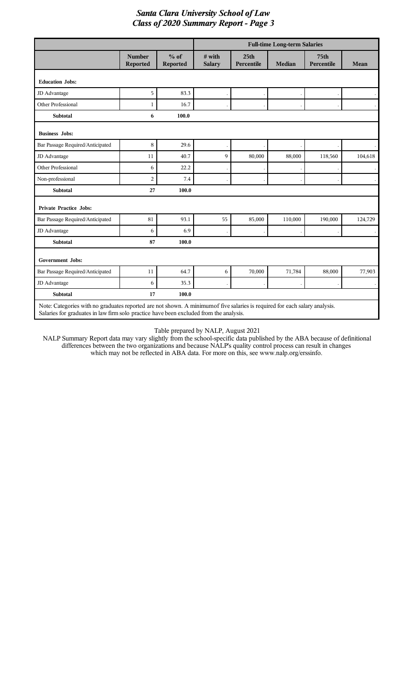|                                                                                                                                                                                                                       |                           |                    |                         |                                | <b>Full-time Long-term Salaries</b> |                                |         |
|-----------------------------------------------------------------------------------------------------------------------------------------------------------------------------------------------------------------------|---------------------------|--------------------|-------------------------|--------------------------------|-------------------------------------|--------------------------------|---------|
|                                                                                                                                                                                                                       | <b>Number</b><br>Reported | $%$ of<br>Reported | # with<br><b>Salary</b> | 25 <sub>th</sub><br>Percentile | <b>Median</b>                       | 75 <sub>th</sub><br>Percentile | Mean    |
| <b>Education Jobs:</b>                                                                                                                                                                                                |                           |                    |                         |                                |                                     |                                |         |
| JD Advantage                                                                                                                                                                                                          | 5                         | 83.3               |                         |                                |                                     |                                |         |
| <b>Other Professional</b>                                                                                                                                                                                             | 1                         | 16.7               |                         |                                |                                     |                                |         |
| <b>Subtotal</b>                                                                                                                                                                                                       | 6                         | 100.0              |                         |                                |                                     |                                |         |
| <b>Business Jobs:</b>                                                                                                                                                                                                 |                           |                    |                         |                                |                                     |                                |         |
| Bar Passage Required/Anticipated                                                                                                                                                                                      | 8                         | 29.6               |                         |                                |                                     |                                |         |
| JD Advantage                                                                                                                                                                                                          | 11                        | 40.7               | 9                       | 80,000                         | 88,000                              | 118,560                        | 104,618 |
| <b>Other Professional</b>                                                                                                                                                                                             | 6                         | 22.2               |                         |                                |                                     |                                |         |
| Non-professional                                                                                                                                                                                                      | $\overline{a}$            | 7.4                |                         |                                |                                     |                                |         |
| <b>Subtotal</b>                                                                                                                                                                                                       | 27                        | 100.0              |                         |                                |                                     |                                |         |
| <b>Private Practice Jobs:</b>                                                                                                                                                                                         |                           |                    |                         |                                |                                     |                                |         |
| Bar Passage Required/Anticipated                                                                                                                                                                                      | 81                        | 93.1               | 55                      | 85,000                         | 110,000                             | 190,000                        | 124,729 |
| JD Advantage                                                                                                                                                                                                          | 6                         | 6.9                |                         |                                |                                     |                                |         |
| <b>Subtotal</b>                                                                                                                                                                                                       | 87                        | 100.0              |                         |                                |                                     |                                |         |
| <b>Government Jobs:</b>                                                                                                                                                                                               |                           |                    |                         |                                |                                     |                                |         |
| Bar Passage Required/Anticipated                                                                                                                                                                                      | 11                        | 64.7               | 6                       | 70,000                         | 71,784                              | 88,000                         | 77,903  |
| JD Advantage                                                                                                                                                                                                          | 6                         | 35.3               |                         |                                |                                     |                                |         |
| <b>Subtotal</b>                                                                                                                                                                                                       | 17                        | 100.0              |                         |                                |                                     |                                |         |
| Note: Categories with no graduates reported are not shown. A minimum of five salaries is required for each salary analysis.<br>Salaries for graduates in law firm solo practice have been excluded from the analysis. |                           |                    |                         |                                |                                     |                                |         |

#### Table prepared by NALP, August 2021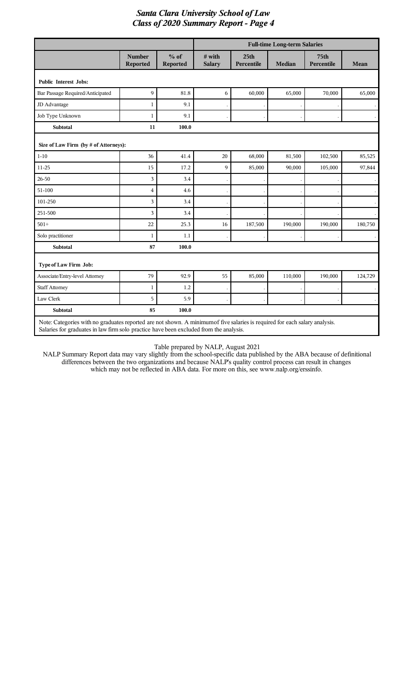|                                                                                                                            |                                  |                    | <b>Full-time Long-term Salaries</b> |                                |               |                                |                      |  |
|----------------------------------------------------------------------------------------------------------------------------|----------------------------------|--------------------|-------------------------------------|--------------------------------|---------------|--------------------------------|----------------------|--|
|                                                                                                                            | <b>Number</b><br><b>Reported</b> | $%$ of<br>Reported | # with<br><b>Salary</b>             | 25 <sub>th</sub><br>Percentile | <b>Median</b> | 75 <sub>th</sub><br>Percentile | Mean                 |  |
| <b>Public Interest Jobs:</b>                                                                                               |                                  |                    |                                     |                                |               |                                |                      |  |
| Bar Passage Required/Anticipated                                                                                           | 9                                | 81.8               | 6                                   | 60,000                         | 65,000        | 70,000                         | 65,000               |  |
| JD Advantage                                                                                                               | 1                                | 9.1                |                                     |                                |               |                                | $\bullet$            |  |
| Job Type Unknown                                                                                                           | 1                                | 9.1                |                                     |                                |               |                                | $\ddot{\phantom{0}}$ |  |
| <b>Subtotal</b>                                                                                                            | 11                               | 100.0              |                                     |                                |               |                                |                      |  |
| Size of Law Firm (by # of Attorneys):                                                                                      |                                  |                    |                                     |                                |               |                                |                      |  |
| $1 - 10$                                                                                                                   | 36                               | 41.4               | $20\,$                              | 68,000                         | 81,500        | 102,500                        | 85,525               |  |
| $11 - 25$                                                                                                                  | 15                               | 17.2               | 9                                   | 85,000                         | 90,000        | 105,000                        | 97,844               |  |
| 26-50                                                                                                                      | 3                                | 3.4                |                                     |                                |               |                                |                      |  |
| 51-100                                                                                                                     | $\overline{4}$                   | 4.6                |                                     |                                |               |                                |                      |  |
| 101-250                                                                                                                    | 3                                | 3.4                |                                     |                                |               |                                |                      |  |
| 251-500                                                                                                                    | 3                                | 3.4                |                                     |                                |               |                                |                      |  |
| $501+$                                                                                                                     | 22                               | 25.3               | 16                                  | 187,500                        | 190,000       | 190,000                        | 180,750              |  |
| Solo practitioner                                                                                                          | 1                                | 1.1                |                                     |                                |               |                                |                      |  |
| <b>Subtotal</b>                                                                                                            | 87                               | 100.0              |                                     |                                |               |                                |                      |  |
| Type of Law Firm Job:                                                                                                      |                                  |                    |                                     |                                |               |                                |                      |  |
| Associate/Entry-level Attorney                                                                                             | 79                               | 92.9               | 55                                  | 85,000                         | 110,000       | 190,000                        | 124,729              |  |
| <b>Staff Attorney</b>                                                                                                      | 1                                | 1.2                |                                     |                                |               |                                |                      |  |
| Law Clerk                                                                                                                  | 5                                | 5.9                |                                     |                                |               |                                |                      |  |
| <b>Subtotal</b>                                                                                                            | 85                               | 100.0              |                                     |                                |               |                                |                      |  |
| Note: Categories with no graduates reported are not shown. A minimum of five salaries is required for each salary analysis |                                  |                    |                                     |                                |               |                                |                      |  |

Note: Categories with no graduates reported are not shown. A minimumof five salaries is required for each salary analysis. Salaries for graduates in law firm solo practice have been excluded from the analysis.

Table prepared by NALP, August 2021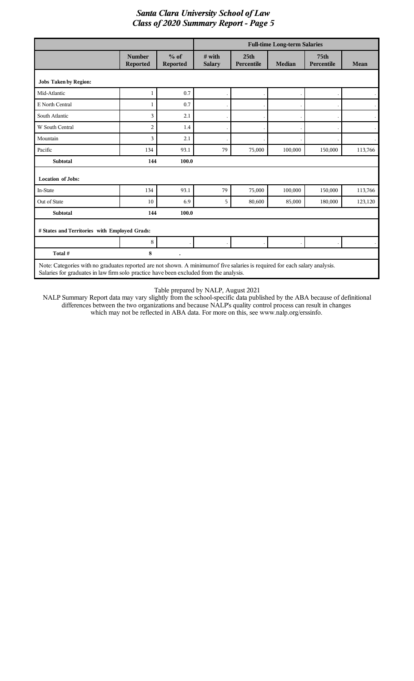|                                               |                                  |                           | <b>Full-time Long-term Salaries</b> |                                |               |                                |         |
|-----------------------------------------------|----------------------------------|---------------------------|-------------------------------------|--------------------------------|---------------|--------------------------------|---------|
|                                               | <b>Number</b><br><b>Reported</b> | $%$ of<br><b>Reported</b> | $#$ with<br><b>Salary</b>           | 25 <sub>th</sub><br>Percentile | <b>Median</b> | 75 <sub>th</sub><br>Percentile | Mean    |
| <b>Jobs Taken by Region:</b>                  |                                  |                           |                                     |                                |               |                                |         |
| Mid-Atlantic                                  | $\mathbf{1}$                     | 0.7                       |                                     |                                |               |                                |         |
| E North Central                               | 1                                | 0.7                       |                                     |                                |               |                                |         |
| South Atlantic                                | 3                                | 2.1                       |                                     |                                |               |                                |         |
| W South Central                               | $\overline{2}$                   | 1.4                       |                                     |                                |               |                                |         |
| Mountain                                      | 3                                | 2.1                       |                                     |                                |               |                                |         |
| Pacific                                       | 134                              | 93.1                      | 79                                  | 75,000                         | 100,000       | 150,000                        | 113,766 |
| <b>Subtotal</b>                               | 144                              | 100.0                     |                                     |                                |               |                                |         |
| <b>Location of Jobs:</b>                      |                                  |                           |                                     |                                |               |                                |         |
| In-State                                      | 134                              | 93.1                      | 79                                  | 75,000                         | 100,000       | 150,000                        | 113,766 |
| Out of State                                  | 10                               | 6.9                       | 5                                   | 80,600                         | 85,000        | 180,000                        | 123,120 |
| <b>Subtotal</b>                               | 144                              | 100.0                     |                                     |                                |               |                                |         |
| # States and Territories with Employed Grads: |                                  |                           |                                     |                                |               |                                |         |
|                                               | 8                                |                           |                                     |                                |               |                                |         |
| Total #                                       | 8                                |                           |                                     |                                |               |                                |         |

Table prepared by NALP, August 2021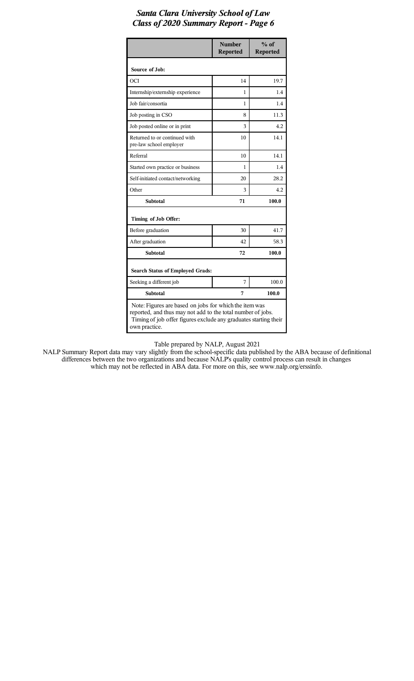|                                                                                                                                                                                                            | <b>Number</b><br><b>Reported</b> | $%$ of<br><b>Reported</b> |  |  |  |
|------------------------------------------------------------------------------------------------------------------------------------------------------------------------------------------------------------|----------------------------------|---------------------------|--|--|--|
| Source of Job:                                                                                                                                                                                             |                                  |                           |  |  |  |
| OCI                                                                                                                                                                                                        | 14                               | 19.7                      |  |  |  |
| Internship/externship experience                                                                                                                                                                           | 1                                | 1.4                       |  |  |  |
| Job fair/consortia                                                                                                                                                                                         | 1                                | 1.4                       |  |  |  |
| Job posting in CSO                                                                                                                                                                                         | 8                                | 11.3                      |  |  |  |
| Job posted online or in print                                                                                                                                                                              | 3                                | 42                        |  |  |  |
| Returned to or continued with<br>pre-law school employer                                                                                                                                                   | 10                               | 14.1                      |  |  |  |
| Referral                                                                                                                                                                                                   | 10                               | 14.1                      |  |  |  |
| Started own practice or business                                                                                                                                                                           | 1                                | 1.4                       |  |  |  |
| Self-initiated contact/networking                                                                                                                                                                          | 20                               | 28.2                      |  |  |  |
| Other                                                                                                                                                                                                      | 3                                | 42                        |  |  |  |
| <b>Subtotal</b>                                                                                                                                                                                            | 71                               | 100.0                     |  |  |  |
| Timing of Job Offer:                                                                                                                                                                                       |                                  |                           |  |  |  |
| Before graduation                                                                                                                                                                                          | 30                               | 41.7                      |  |  |  |
| After graduation                                                                                                                                                                                           | 42                               | 58.3                      |  |  |  |
| <b>Subtotal</b>                                                                                                                                                                                            | 72                               | 100.0                     |  |  |  |
| <b>Search Status of Employed Grads:</b>                                                                                                                                                                    |                                  |                           |  |  |  |
| Seeking a different job                                                                                                                                                                                    | 7                                | 100.0                     |  |  |  |
| <b>Subtotal</b>                                                                                                                                                                                            | 7                                | 100.0                     |  |  |  |
| Note: Figures are based on jobs for which the item was<br>reported, and thus may not add to the total number of jobs.<br>Timing of job offer figures exclude any graduates starting their<br>own practice. |                                  |                           |  |  |  |

Table prepared by NALP, August 2021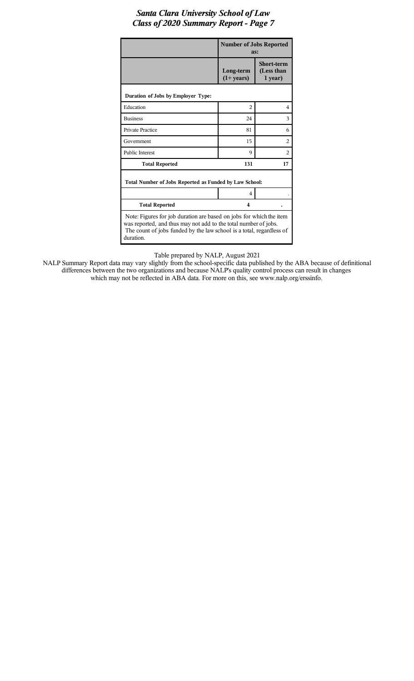|                                                                                                                                                                                                                             | <b>Number of Jobs Reported</b><br>as: |                                            |  |  |  |  |  |
|-----------------------------------------------------------------------------------------------------------------------------------------------------------------------------------------------------------------------------|---------------------------------------|--------------------------------------------|--|--|--|--|--|
|                                                                                                                                                                                                                             | Long-term<br>$(1+ years)$             | <b>Short-term</b><br>(Less than<br>1 year) |  |  |  |  |  |
| Duration of Jobs by Employer Type:                                                                                                                                                                                          |                                       |                                            |  |  |  |  |  |
| Education                                                                                                                                                                                                                   | $\overline{c}$                        | 4                                          |  |  |  |  |  |
| <b>Business</b>                                                                                                                                                                                                             | 24                                    | 3                                          |  |  |  |  |  |
| <b>Private Practice</b>                                                                                                                                                                                                     | 81                                    | 6                                          |  |  |  |  |  |
| Government                                                                                                                                                                                                                  | 15                                    | $\overline{c}$                             |  |  |  |  |  |
| <b>Public Interest</b>                                                                                                                                                                                                      | 9                                     | $\overline{c}$                             |  |  |  |  |  |
| <b>Total Reported</b>                                                                                                                                                                                                       | 131                                   | 17                                         |  |  |  |  |  |
| Total Number of Jobs Reported as Funded by Law School:                                                                                                                                                                      |                                       |                                            |  |  |  |  |  |
|                                                                                                                                                                                                                             | 4                                     |                                            |  |  |  |  |  |
| <b>Total Reported</b>                                                                                                                                                                                                       | 4                                     |                                            |  |  |  |  |  |
| Note: Figures for job duration are based on jobs for which the item<br>was reported, and thus may not add to the total number of jobs.<br>The count of jobs funded by the law school is a total, regardless of<br>duration. |                                       |                                            |  |  |  |  |  |

Table prepared by NALP, August 2021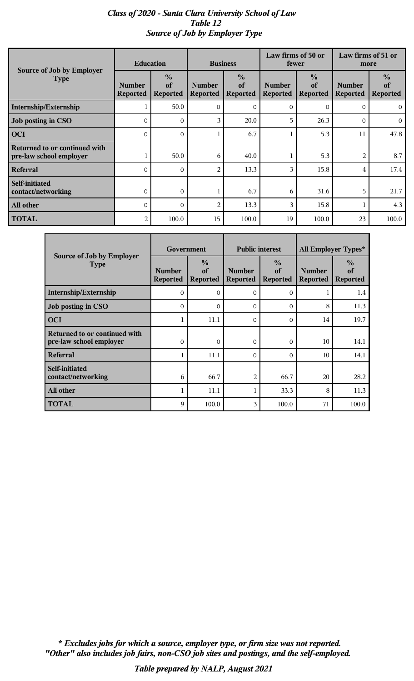# *Class of 2020 - Santa Clara University School of Law Table 12 Source of Job by Employer Type*

|                                                          | <b>Education</b>                 |                                        | <b>Business</b>                  |                                        | Law firms of 50 or<br>fewer      |                                        | Law firms of 51 or<br>more       |                                        |
|----------------------------------------------------------|----------------------------------|----------------------------------------|----------------------------------|----------------------------------------|----------------------------------|----------------------------------------|----------------------------------|----------------------------------------|
| Source of Job by Employer<br><b>Type</b>                 | <b>Number</b><br><b>Reported</b> | $\frac{0}{0}$<br>of<br><b>Reported</b> | <b>Number</b><br><b>Reported</b> | $\frac{0}{0}$<br>of<br><b>Reported</b> | <b>Number</b><br><b>Reported</b> | $\frac{0}{0}$<br>of<br><b>Reported</b> | <b>Number</b><br><b>Reported</b> | $\frac{0}{0}$<br>of<br><b>Reported</b> |
| Internship/Externship                                    |                                  | 50.0                                   | $\Omega$                         | $\Omega$                               | $\Omega$                         | $\mathbf{O}$                           | $\Omega$                         | $\Omega$                               |
| Job posting in CSO                                       | $\Omega$                         | 0                                      | 3                                | 20.0                                   | 5                                | 26.3                                   | $\Omega$                         | $\overline{0}$                         |
| <b>OCI</b>                                               | $\Omega$                         | $\Omega$                               |                                  | 6.7                                    |                                  | 5.3                                    | 11                               | 47.8                                   |
| Returned to or continued with<br>pre-law school employer |                                  | 50.0                                   | 6                                | 40.0                                   |                                  | 5.3                                    | 2                                | 8.7                                    |
| <b>Referral</b>                                          | $\Omega$                         | $\mathbf 0$                            | $\overline{2}$                   | 13.3                                   | 3                                | 15.8                                   | 4                                | 17.4                                   |
| Self-initiated<br>contact/networking                     | $\Omega$                         | $\mathbf 0$                            |                                  | 6.7                                    | 6                                | 31.6                                   | 5                                | 21.7                                   |
| All other                                                | $\Omega$                         | $\Omega$                               | 2                                | 13.3                                   | 3                                | 15.8                                   |                                  | 4.3                                    |
| <b>TOTAL</b>                                             | 2                                | 100.0                                  | 15                               | 100.0                                  | 19                               | 100.0                                  | 23                               | 100.0                                  |

|                                                                 | Government                       |                                        | <b>Public interest</b>           |                                        | All Employer Types*              |                                        |  |
|-----------------------------------------------------------------|----------------------------------|----------------------------------------|----------------------------------|----------------------------------------|----------------------------------|----------------------------------------|--|
| Source of Job by Employer<br><b>Type</b>                        | <b>Number</b><br><b>Reported</b> | $\frac{6}{9}$<br>of<br><b>Reported</b> | <b>Number</b><br><b>Reported</b> | $\frac{0}{0}$<br>of<br><b>Reported</b> | <b>Number</b><br><b>Reported</b> | $\frac{6}{9}$<br>of<br><b>Reported</b> |  |
| Internship/Externship                                           | 0                                | $\Omega$                               | $\Omega$                         | $\Omega$                               | T                                | 1.4                                    |  |
| Job posting in CSO                                              | $\Omega$                         | $\Omega$                               | $\Omega$                         | $\Omega$                               | 8                                | 11.3                                   |  |
| <b>OCI</b>                                                      |                                  | 11.1                                   | $\Omega$                         | $\Omega$                               | 14                               | 19.7                                   |  |
| <b>Returned to or continued with</b><br>pre-law school employer | 0                                | $\mathbf{0}$                           | 0                                | $\Omega$                               | 10                               | 14.1                                   |  |
| <b>Referral</b>                                                 |                                  | 11.1                                   | 0                                | $\Omega$                               | 10                               | 14.1                                   |  |
| Self-initiated<br>contact/networking                            | 6                                | 66.7                                   | 2                                | 66.7                                   | 20                               | 28.2                                   |  |
| All other                                                       |                                  | 11.1                                   | 1                                | 33.3                                   | 8                                | 11.3                                   |  |
| <b>TOTAL</b>                                                    | 9                                | 100.0                                  | 3                                | 100.0                                  | 71                               | 100.0                                  |  |

*"Other" also includes job fairs, non-CSO job sites and postings, and the self-employed. \* Excludes jobs for which a source, employer type, or firm size was not reported.*

*Table prepared by NALP, August 2021*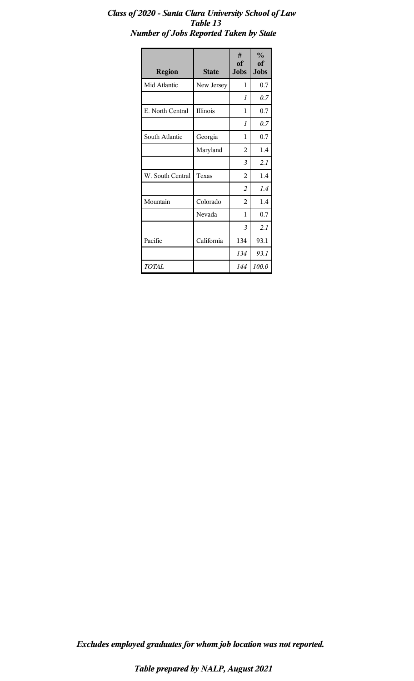# *Class of 2020 - Santa Clara University School of Law Table 13 Number of Jobs Reported Taken by State*

| <b>Region</b>    | <b>State</b> | #<br>of<br><b>Jobs</b> | $\frac{0}{0}$<br>of<br><b>Jobs</b> |
|------------------|--------------|------------------------|------------------------------------|
| Mid Atlantic     | New Jersey   | 1                      | 0.7                                |
|                  |              | $\mathcal I$           | 0.7                                |
| E. North Central | Illinois     | 1                      | 0.7                                |
|                  |              | $\mathcal I$           | 0.7                                |
| South Atlantic   | Georgia      | 1                      | 0.7                                |
|                  | Maryland     | $\overline{2}$         | 1.4                                |
|                  |              | 3                      | 2.1                                |
| W. South Central | Texas        | $\overline{2}$         | 1.4                                |
|                  |              | $\overline{2}$         | 1.4                                |
| Mountain         | Colorado     | $\overline{2}$         | 1.4                                |
|                  | Nevada       | 1                      | 0.7                                |
|                  |              | 3                      | 2.1                                |
| Pacific          | California   | 134                    | 93.1                               |
|                  |              | 134                    | 93.1                               |
| TOTAL            |              | 144                    | 100.0                              |

*Excludes employed graduates for whom job location was not reported.*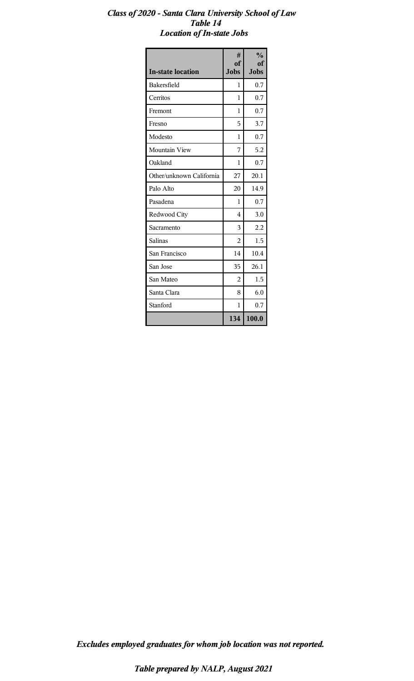### *Class of 2020 - Santa Clara University School of Law Table 14 Location of In-state Jobs*

| <b>In-state location</b> | #<br>of<br><b>Jobs</b> | $\frac{0}{0}$<br>of<br><b>Jobs</b> |
|--------------------------|------------------------|------------------------------------|
| Bakersfield              | 1                      | 0.7                                |
| Cerritos                 | 1                      | 0.7                                |
| Fremont                  | 1                      | 0.7                                |
| Fresno                   | 5                      | 3.7                                |
| Modesto                  | 1                      | 0.7                                |
| Mountain View            | 7                      | 5.2                                |
| Oakland                  | 1                      | 0.7                                |
| Other/unknown California | 27                     | 20.1                               |
| Palo Alto                | 20                     | 14.9                               |
| Pasadena                 | 1                      | 0.7                                |
| Redwood City             | 4                      | 3.0                                |
| Sacramento               | 3                      | 2.2                                |
| Salinas                  | $\overline{2}$         | 1.5                                |
| San Francisco            | 14                     | 10.4                               |
| San Jose                 | 35                     | 26.1                               |
| San Mateo                | $\overline{2}$         | 1.5                                |
| Santa Clara              | 8                      | 6.0                                |
| Stanford                 | 1                      | 0.7                                |
|                          | 134                    | 100.0                              |